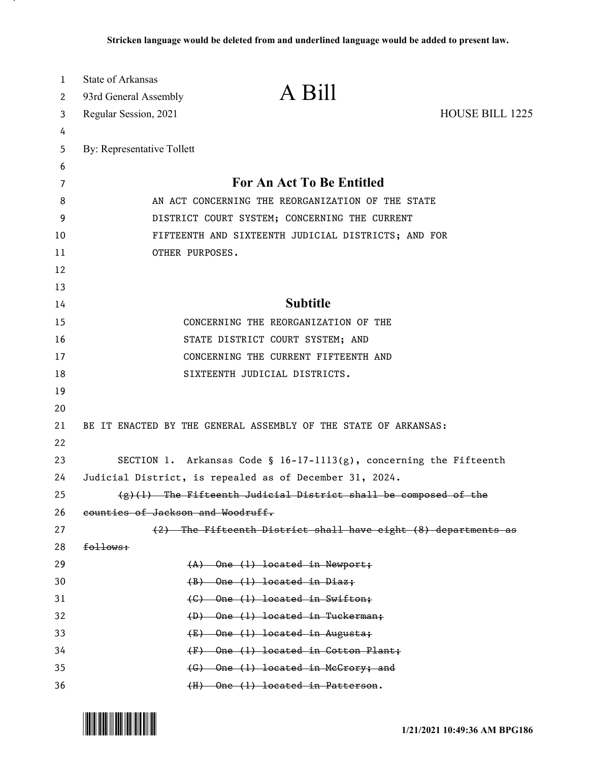| 1  | State of Arkansas                 |                                                                       |                        |
|----|-----------------------------------|-----------------------------------------------------------------------|------------------------|
| 2  | 93rd General Assembly             | A Bill                                                                |                        |
| 3  | Regular Session, 2021             |                                                                       | <b>HOUSE BILL 1225</b> |
| 4  |                                   |                                                                       |                        |
| 5  | By: Representative Tollett        |                                                                       |                        |
| 6  |                                   |                                                                       |                        |
| 7  |                                   | For An Act To Be Entitled                                             |                        |
| 8  |                                   | AN ACT CONCERNING THE REORGANIZATION OF THE STATE                     |                        |
| 9  |                                   | DISTRICT COURT SYSTEM; CONCERNING THE CURRENT                         |                        |
| 10 |                                   | FIFTEENTH AND SIXTEENTH JUDICIAL DISTRICTS; AND FOR                   |                        |
| 11 | OTHER PURPOSES.                   |                                                                       |                        |
| 12 |                                   |                                                                       |                        |
| 13 |                                   |                                                                       |                        |
| 14 |                                   | <b>Subtitle</b>                                                       |                        |
| 15 |                                   | CONCERNING THE REORGANIZATION OF THE                                  |                        |
| 16 |                                   | STATE DISTRICT COURT SYSTEM; AND                                      |                        |
| 17 |                                   | CONCERNING THE CURRENT FIFTEENTH AND                                  |                        |
| 18 |                                   | SIXTEENTH JUDICIAL DISTRICTS.                                         |                        |
| 19 |                                   |                                                                       |                        |
| 20 |                                   |                                                                       |                        |
| 21 |                                   | BE IT ENACTED BY THE GENERAL ASSEMBLY OF THE STATE OF ARKANSAS:       |                        |
| 22 |                                   |                                                                       |                        |
| 23 |                                   | SECTION 1. Arkansas Code § $16-17-1113(g)$ , concerning the Fifteenth |                        |
| 24 |                                   | Judicial District, is repealed as of December 31, 2024.               |                        |
| 25 |                                   | $(g)(1)$ The Fifteenth Judicial District shall be composed of the     |                        |
| 26 | counties of Jackson and Woodruff. |                                                                       |                        |
| 27 |                                   | (2) The Fifteenth District shall have eight (8) departments as        |                        |
| 28 | follows:                          |                                                                       |                        |
| 29 |                                   | $(A)$ One (1) located in Newport;                                     |                        |
| 30 |                                   | $(B)$ One $(1)$ located in Diaz;                                      |                        |
| 31 |                                   | $(G)$ One $(1)$ located in Swifton;                                   |                        |
| 32 |                                   | (D) One (1) located in Tuckerman;                                     |                        |
| 33 |                                   | $(E)$ One $(1)$ located in Augusta;                                   |                        |
| 34 |                                   | $(F)$ One (1) located in Cotton Plant;                                |                        |
| 35 |                                   | (G) One (1) located in McGrory; and                                   |                        |
| 36 |                                   | (H) One (1) located in Patterson.                                     |                        |

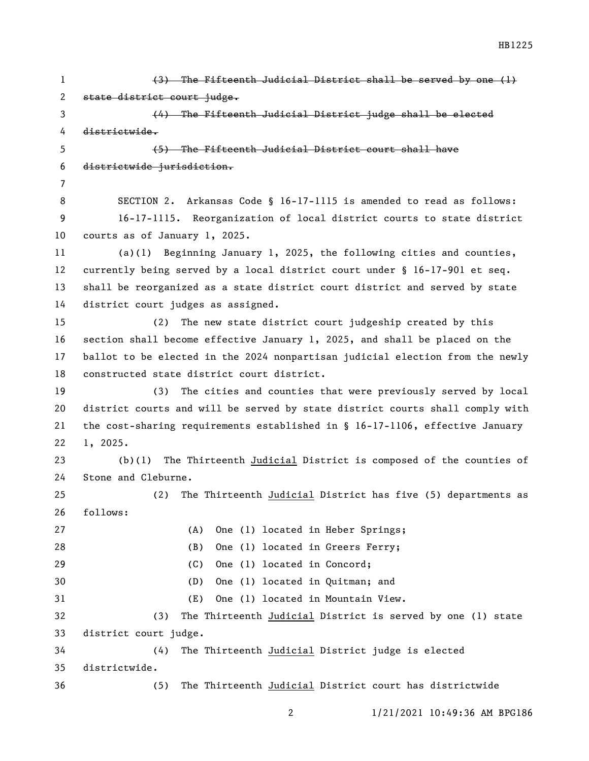(3) The Fifteenth Judicial District shall be served by one (1) state district court judge. (4) The Fifteenth Judicial District judge shall be elected districtwide. (5) The Fifteenth Judicial District court shall have districtwide jurisdiction. SECTION 2. Arkansas Code § 16-17-1115 is amended to read as follows: 16-17-1115. Reorganization of local district courts to state district courts as of January 1, 2025. (a)(1) Beginning January 1, 2025, the following cities and counties, currently being served by a local district court under § 16-17-901 et seq. shall be reorganized as a state district court district and served by state district court judges as assigned. (2) The new state district court judgeship created by this section shall become effective January 1, 2025, and shall be placed on the ballot to be elected in the 2024 nonpartisan judicial election from the newly constructed state district court district. (3) The cities and counties that were previously served by local district courts and will be served by state district courts shall comply with the cost-sharing requirements established in § 16-17-1106, effective January 1, 2025. (b)(1) The Thirteenth Judicial District is composed of the counties of Stone and Cleburne. (2) The Thirteenth Judicial District has five (5) departments as follows: (A) One (1) located in Heber Springs; (B) One (1) located in Greers Ferry; (C) One (1) located in Concord; (D) One (1) located in Quitman; and (E) One (1) located in Mountain View. (3) The Thirteenth Judicial District is served by one (1) state district court judge. (4) The Thirteenth Judicial District judge is elected districtwide. (5) The Thirteenth Judicial District court has districtwide

1/21/2021 10:49:36 AM BPG186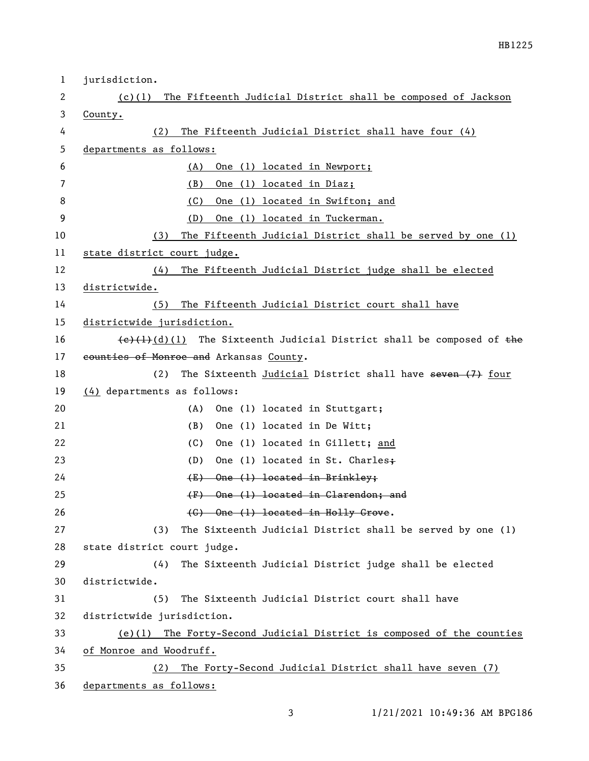| $\mathbf{1}$ | jurisdiction.                                                                                         |  |  |  |
|--------------|-------------------------------------------------------------------------------------------------------|--|--|--|
| 2            | The Fifteenth Judicial District shall be composed of Jackson<br>(c)(1)                                |  |  |  |
| 3            | County.                                                                                               |  |  |  |
| 4            | The Fifteenth Judicial District shall have four (4)<br>(2)                                            |  |  |  |
| 5            | departments as follows:                                                                               |  |  |  |
| 6            | One (1) located in Newport;<br>(A)                                                                    |  |  |  |
| 7            | (B)<br>One (1) located in Diaz;                                                                       |  |  |  |
| 8            | (C)<br>One (1) located in Swifton; and                                                                |  |  |  |
| 9            | One (1) located in Tuckerman.<br>(D)                                                                  |  |  |  |
| 10           | The Fifteenth Judicial District shall be served by one (1)<br>(3)                                     |  |  |  |
| 11           | state district court judge.                                                                           |  |  |  |
| 12           | The Fifteenth Judicial District judge shall be elected<br>(4)                                         |  |  |  |
| 13           | districtwide.                                                                                         |  |  |  |
| 14           | The Fifteenth Judicial District court shall have<br>(5)                                               |  |  |  |
| 15           | districtwide jurisdiction.                                                                            |  |  |  |
| 16           | $\left(\frac{e}{t}\right)\left(1\right)$ (1) The Sixteenth Judicial District shall be composed of the |  |  |  |
| 17           | counties of Monroe and Arkansas County.                                                               |  |  |  |
| 18           | The Sixteenth Judicial District shall have seven (7) four<br>(2)                                      |  |  |  |
| 19           | (4) departments as follows:                                                                           |  |  |  |
| 20           | One (1) located in Stuttgart;<br>(A)                                                                  |  |  |  |
| 21           | One (1) located in De Witt;<br>(B)                                                                    |  |  |  |
| 22           | (C)<br>One (1) located in Gillett; and                                                                |  |  |  |
| 23           | (D)<br>One (1) located in St. Charles+                                                                |  |  |  |
| 24           | (E) One (1) located in Brinkley;                                                                      |  |  |  |
| 25           | (F) One (1) located in Clarendon; and                                                                 |  |  |  |
| 26           | (G) One (1) located in Holly Grove.                                                                   |  |  |  |
| 27           | The Sixteenth Judicial District shall be served by one (1)<br>(3)                                     |  |  |  |
| 28           | state district court judge.                                                                           |  |  |  |
| 29           | The Sixteenth Judicial District judge shall be elected<br>(4)                                         |  |  |  |
| 30           | districtwide.                                                                                         |  |  |  |
| 31           | (5)<br>The Sixteenth Judicial District court shall have                                               |  |  |  |
| 32           | districtwide jurisdiction.                                                                            |  |  |  |
| 33           | (e)(1) The Forty-Second Judicial District is composed of the counties                                 |  |  |  |
| 34           | of Monroe and Woodruff.                                                                               |  |  |  |
| 35           | The Forty-Second Judicial District shall have seven (7)<br>(2)                                        |  |  |  |
| 36           | departments as follows:                                                                               |  |  |  |